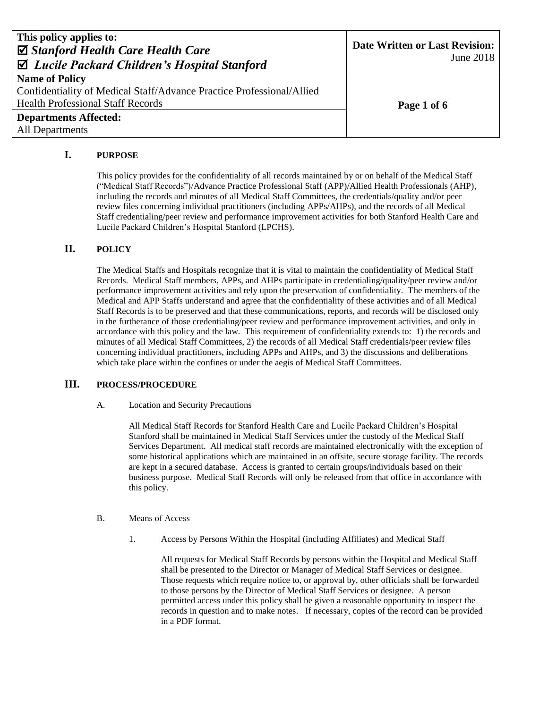| This policy applies to:<br>$\boxtimes$ Stanford Health Care Health Care<br>$\boxtimes$ Lucile Packard Children's Hospital Stanford | <b>Date Written or Last Revision:</b><br>June $2018$ |
|------------------------------------------------------------------------------------------------------------------------------------|------------------------------------------------------|
| <b>Name of Policy</b>                                                                                                              |                                                      |
| Confidentiality of Medical Staff/Advance Practice Professional/Allied                                                              |                                                      |
| <b>Health Professional Staff Records</b>                                                                                           | Page 1 of 6                                          |
| <b>Departments Affected:</b>                                                                                                       |                                                      |
| <b>All Departments</b>                                                                                                             |                                                      |

### **I. PURPOSE**

This policy provides for the confidentiality of all records maintained by or on behalf of the Medical Staff ("Medical Staff Records")/Advance Practice Professional Staff (APP)/Allied Health Professionals (AHP), including the records and minutes of all Medical Staff Committees, the credentials/quality and/or peer review files concerning individual practitioners (including APPs/AHPs), and the records of all Medical Staff credentialing/peer review and performance improvement activities for both Stanford Health Care and Lucile Packard Children's Hospital Stanford (LPCHS).

### **II. POLICY**

The Medical Staffs and Hospitals recognize that it is vital to maintain the confidentiality of Medical Staff Records. Medical Staff members, APPs, and AHPs participate in credentialing/quality/peer review and/or performance improvement activities and rely upon the preservation of confidentiality. The members of the Medical and APP Staffs understand and agree that the confidentiality of these activities and of all Medical Staff Records is to be preserved and that these communications, reports, and records will be disclosed only in the furtherance of those credentialing/peer review and performance improvement activities, and only in accordance with this policy and the law. This requirement of confidentiality extends to: 1) the records and minutes of all Medical Staff Committees, 2) the records of all Medical Staff credentials/peer review files concerning individual practitioners, including APPs and AHPs, and 3) the discussions and deliberations which take place within the confines or under the aegis of Medical Staff Committees.

## **III. PROCESS/PROCEDURE**

A. Location and Security Precautions

All Medical Staff Records for Stanford Health Care and Lucile Packard Children's Hospital Stanford shall be maintained in Medical Staff Services under the custody of the Medical Staff Services Department. All medical staff records are maintained electronically with the exception of some historical applications which are maintained in an offsite, secure storage facility. The records are kept in a secured database. Access is granted to certain groups/individuals based on their business purpose. Medical Staff Records will only be released from that office in accordance with this policy.

#### B. Means of Access

1. Access by Persons Within the Hospital (including Affiliates) and Medical Staff

All requests for Medical Staff Records by persons within the Hospital and Medical Staff shall be presented to the Director or Manager of Medical Staff Services or designee. Those requests which require notice to, or approval by, other officials shall be forwarded to those persons by the Director of Medical Staff Services or designee. A person permitted access under this policy shall be given a reasonable opportunity to inspect the records in question and to make notes. If necessary, copies of the record can be provided in a PDF format.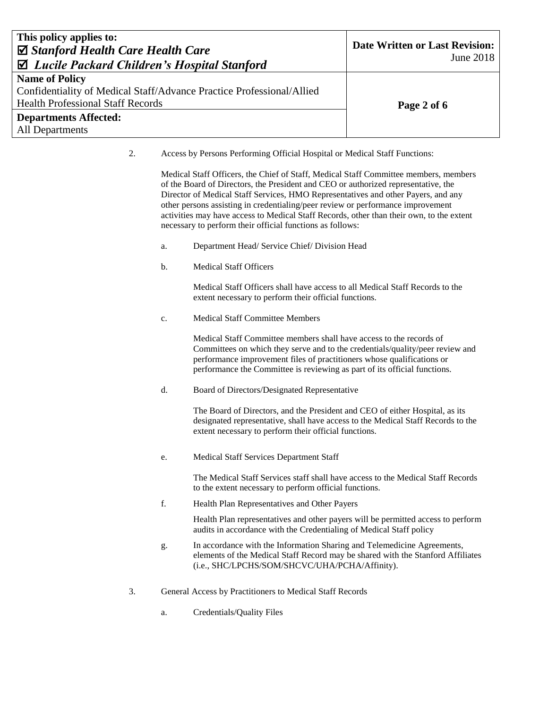| This policy applies to:<br>$\boxtimes$ Stanford Health Care Health Care<br>$\boxtimes$ Lucile Packard Children's Hospital Stanford | <b>Date Written or Last Revision:</b><br>June 2018 |
|------------------------------------------------------------------------------------------------------------------------------------|----------------------------------------------------|
| <b>Name of Policy</b>                                                                                                              |                                                    |
| Confidentiality of Medical Staff/Advance Practice Professional/Allied                                                              |                                                    |
| <b>Health Professional Staff Records</b>                                                                                           | Page 2 of 6                                        |
| <b>Departments Affected:</b>                                                                                                       |                                                    |
| <b>All Departments</b>                                                                                                             |                                                    |

2. Access by Persons Performing Official Hospital or Medical Staff Functions:

Medical Staff Officers, the Chief of Staff, Medical Staff Committee members, members of the Board of Directors, the President and CEO or authorized representative, the Director of Medical Staff Services, HMO Representatives and other Payers, and any other persons assisting in credentialing/peer review or performance improvement activities may have access to Medical Staff Records, other than their own, to the extent necessary to perform their official functions as follows:

- a. Department Head/ Service Chief/ Division Head
- b. Medical Staff Officers

Medical Staff Officers shall have access to all Medical Staff Records to the extent necessary to perform their official functions.

c. Medical Staff Committee Members

Medical Staff Committee members shall have access to the records of Committees on which they serve and to the credentials/quality/peer review and performance improvement files of practitioners whose qualifications or performance the Committee is reviewing as part of its official functions.

d. Board of Directors/Designated Representative

The Board of Directors, and the President and CEO of either Hospital, as its designated representative, shall have access to the Medical Staff Records to the extent necessary to perform their official functions.

e. Medical Staff Services Department Staff

The Medical Staff Services staff shall have access to the Medical Staff Records to the extent necessary to perform official functions.

f. Health Plan Representatives and Other Payers

Health Plan representatives and other payers will be permitted access to perform audits in accordance with the Credentialing of Medical Staff policy

- g. In accordance with the Information Sharing and Telemedicine Agreements, elements of the Medical Staff Record may be shared with the Stanford Affiliates (i.e., SHC/LPCHS/SOM/SHCVC/UHA/PCHA/Affinity).
- 3. General Access by Practitioners to Medical Staff Records
	- a. Credentials/Quality Files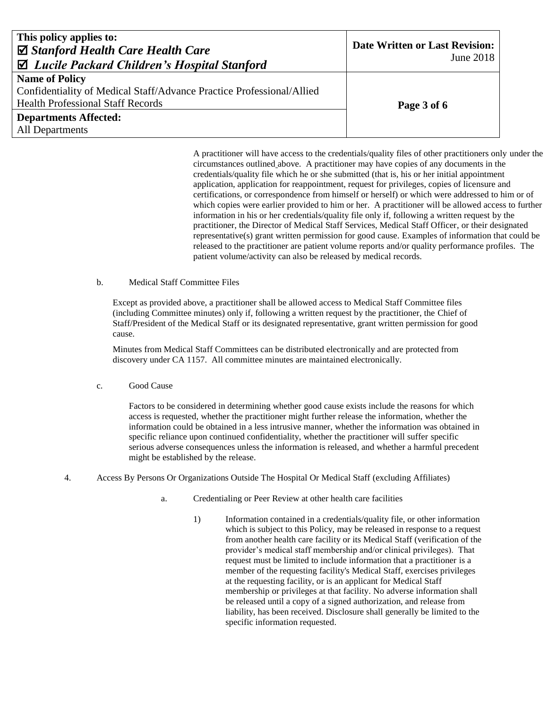| This policy applies to:<br>$\boxtimes$ Stanford Health Care Health Care<br>$\boxtimes$ Lucile Packard Children's Hospital Stanford | <b>Date Written or Last Revision:</b><br>June 2018 |
|------------------------------------------------------------------------------------------------------------------------------------|----------------------------------------------------|
| <b>Name of Policy</b>                                                                                                              |                                                    |
| Confidentiality of Medical Staff/Advance Practice Professional/Allied                                                              |                                                    |
| <b>Health Professional Staff Records</b>                                                                                           | Page 3 of 6                                        |
| <b>Departments Affected:</b>                                                                                                       |                                                    |
| <b>All Departments</b>                                                                                                             |                                                    |

A practitioner will have access to the credentials/quality files of other practitioners only under the circumstances outlined above. A practitioner may have copies of any documents in the credentials/quality file which he or she submitted (that is, his or her initial appointment application, application for reappointment, request for privileges, copies of licensure and certifications, or correspondence from himself or herself) or which were addressed to him or of which copies were earlier provided to him or her. A practitioner will be allowed access to further information in his or her credentials/quality file only if, following a written request by the practitioner, the Director of Medical Staff Services, Medical Staff Officer, or their designated representative(s) grant written permission for good cause. Examples of information that could be released to the practitioner are patient volume reports and/or quality performance profiles. The patient volume/activity can also be released by medical records.

#### b. Medical Staff Committee Files

Except as provided above, a practitioner shall be allowed access to Medical Staff Committee files (including Committee minutes) only if, following a written request by the practitioner, the Chief of Staff/President of the Medical Staff or its designated representative, grant written permission for good cause.

Minutes from Medical Staff Committees can be distributed electronically and are protected from discovery under CA 1157. All committee minutes are maintained electronically.

c. Good Cause

Factors to be considered in determining whether good cause exists include the reasons for which access is requested, whether the practitioner might further release the information, whether the information could be obtained in a less intrusive manner, whether the information was obtained in specific reliance upon continued confidentiality, whether the practitioner will suffer specific serious adverse consequences unless the information is released, and whether a harmful precedent might be established by the release.

- 4. Access By Persons Or Organizations Outside The Hospital Or Medical Staff (excluding Affiliates)
	- a. Credentialing or Peer Review at other health care facilities
		- 1) Information contained in a credentials/quality file, or other information which is subject to this Policy, may be released in response to a request from another health care facility or its Medical Staff (verification of the provider's medical staff membership and/or clinical privileges). That request must be limited to include information that a practitioner is a member of the requesting facility's Medical Staff, exercises privileges at the requesting facility, or is an applicant for Medical Staff membership or privileges at that facility. No adverse information shall be released until a copy of a signed authorization, and release from liability, has been received. Disclosure shall generally be limited to the specific information requested.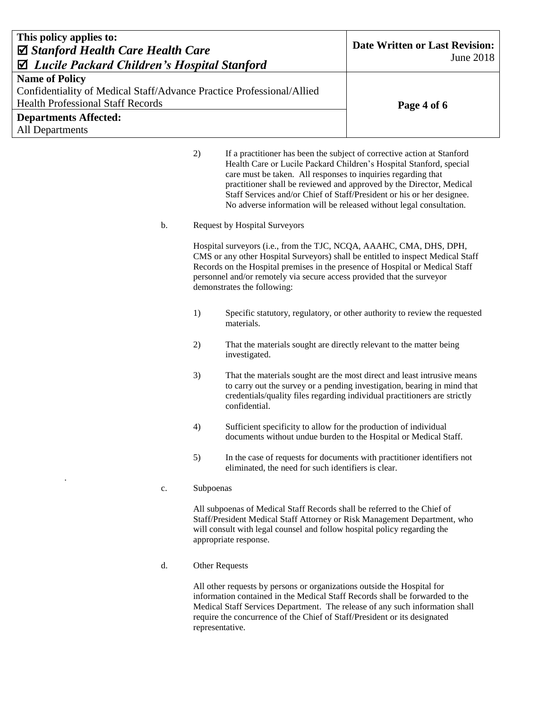| This policy applies to:<br>$\boxtimes$ Stanford Health Care Health Care<br>$\boxtimes$ Lucile Packard Children's Hospital Stanford | Date Written or Last Revision:<br>June 2018 |
|------------------------------------------------------------------------------------------------------------------------------------|---------------------------------------------|
| <b>Name of Policy</b>                                                                                                              |                                             |
| Confidentiality of Medical Staff/Advance Practice Professional/Allied                                                              |                                             |
| <b>Health Professional Staff Records</b>                                                                                           | Page 4 of 6                                 |
| <b>Departments Affected:</b>                                                                                                       |                                             |
| All Departments                                                                                                                    |                                             |

- 2) If a practitioner has been the subject of corrective action at Stanford Health Care or Lucile Packard Children's Hospital Stanford, special care must be taken. All responses to inquiries regarding that practitioner shall be reviewed and approved by the Director, Medical Staff Services and/or Chief of Staff/President or his or her designee. No adverse information will be released without legal consultation.
- b. Request by Hospital Surveyors

Hospital surveyors (i.e., from the TJC, NCQA, AAAHC, CMA, DHS, DPH, CMS or any other Hospital Surveyors) shall be entitled to inspect Medical Staff Records on the Hospital premises in the presence of Hospital or Medical Staff personnel and/or remotely via secure access provided that the surveyor demonstrates the following:

- 1) Specific statutory, regulatory, or other authority to review the requested materials.
- 2) That the materials sought are directly relevant to the matter being investigated.
- 3) That the materials sought are the most direct and least intrusive means to carry out the survey or a pending investigation, bearing in mind that credentials/quality files regarding individual practitioners are strictly confidential.
- 4) Sufficient specificity to allow for the production of individual documents without undue burden to the Hospital or Medical Staff.
- 5) In the case of requests for documents with practitioner identifiers not eliminated, the need for such identifiers is clear.
- c. Subpoenas

.

All subpoenas of Medical Staff Records shall be referred to the Chief of Staff/President Medical Staff Attorney or Risk Management Department, who will consult with legal counsel and follow hospital policy regarding the appropriate response.

d. Other Requests

All other requests by persons or organizations outside the Hospital for information contained in the Medical Staff Records shall be forwarded to the Medical Staff Services Department. The release of any such information shall require the concurrence of the Chief of Staff/President or its designated representative.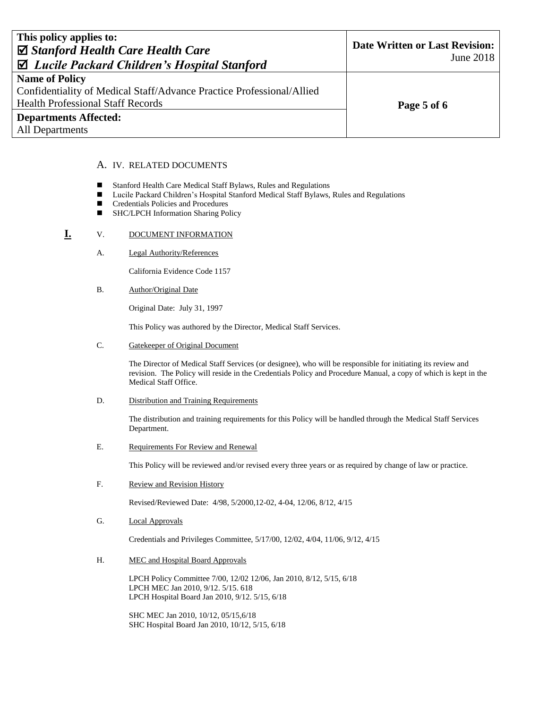| This policy applies to:<br>$\boxtimes$ Stanford Health Care Health Care<br>$\boxtimes$ Lucile Packard Children's Hospital Stanford | <b>Date Written or Last Revision:</b><br>June 2018 |
|------------------------------------------------------------------------------------------------------------------------------------|----------------------------------------------------|
| <b>Name of Policy</b>                                                                                                              |                                                    |
| Confidentiality of Medical Staff/Advance Practice Professional/Allied                                                              |                                                    |
| <b>Health Professional Staff Records</b>                                                                                           | Page 5 of 6                                        |
| <b>Departments Affected:</b>                                                                                                       |                                                    |
| All Departments                                                                                                                    |                                                    |

### A. IV. RELATED DOCUMENTS

- Stanford Health Care Medical Staff Bylaws, Rules and Regulations<br>■ Lucile Packard Children's Hospital Stanford Medical Staff Bylaws
- Lucile Packard Children's Hospital Stanford Medical Staff Bylaws, Rules and Regulations
- **EXECREDENTIALS** Policies and Procedures
- SHC/LPCH Information Sharing Policy

#### **I.** V. DOCUMENT INFORMATION

A. Legal Authority/References

California Evidence Code 1157

B. Author/Original Date

Original Date: July 31, 1997

This Policy was authored by the Director, Medical Staff Services.

C. Gatekeeper of Original Document

The Director of Medical Staff Services (or designee), who will be responsible for initiating its review and revision. The Policy will reside in the Credentials Policy and Procedure Manual, a copy of which is kept in the Medical Staff Office.

D. Distribution and Training Requirements

The distribution and training requirements for this Policy will be handled through the Medical Staff Services Department.

E. Requirements For Review and Renewal

This Policy will be reviewed and/or revised every three years or as required by change of law or practice.

F. Review and Revision History

Revised/Reviewed Date: 4/98, 5/2000,12-02, 4-04, 12/06, 8/12, 4/15

G. Local Approvals

Credentials and Privileges Committee, 5/17/00, 12/02, 4/04, 11/06, 9/12, 4/15

H. MEC and Hospital Board Approvals

LPCH Policy Committee 7/00, 12/02 12/06, Jan 2010, 8/12, 5/15, 6/18 LPCH MEC Jan 2010, 9/12. 5/15. 618 LPCH Hospital Board Jan 2010, 9/12. 5/15, 6/18

SHC MEC Jan 2010, 10/12, 05/15,6/18 SHC Hospital Board Jan 2010, 10/12, 5/15, 6/18